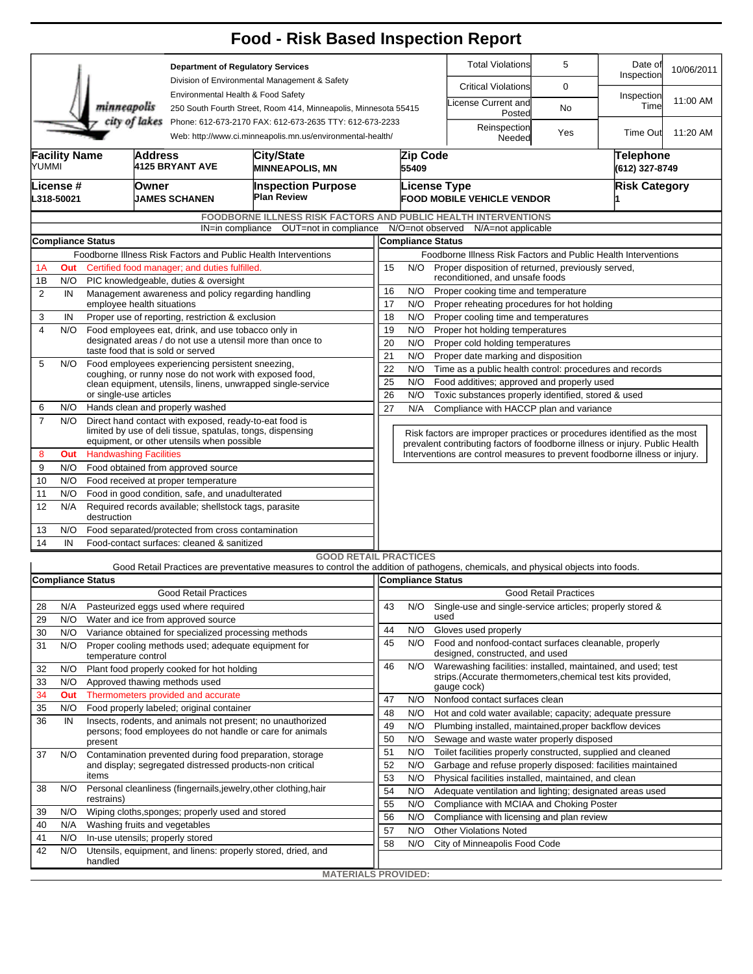|                                                                                                                                        |                                                                                               |                                                                                                                      |                                                                                                                 |                                                                                                       | <b>Food - Risk Based Inspection Report</b>                                                                                                                        |                                                                                                                                   |                                                                                                                                                          |                                                                                          |                              |                                    |            |  |  |  |
|----------------------------------------------------------------------------------------------------------------------------------------|-----------------------------------------------------------------------------------------------|----------------------------------------------------------------------------------------------------------------------|-----------------------------------------------------------------------------------------------------------------|-------------------------------------------------------------------------------------------------------|-------------------------------------------------------------------------------------------------------------------------------------------------------------------|-----------------------------------------------------------------------------------------------------------------------------------|----------------------------------------------------------------------------------------------------------------------------------------------------------|------------------------------------------------------------------------------------------|------------------------------|------------------------------------|------------|--|--|--|
|                                                                                                                                        |                                                                                               |                                                                                                                      |                                                                                                                 | <b>Department of Regulatory Services</b><br>Division of Environmental Management & Safety             |                                                                                                                                                                   |                                                                                                                                   |                                                                                                                                                          | <b>Total Violations</b>                                                                  | 5                            | Date of<br>Inspection              | 10/06/2011 |  |  |  |
|                                                                                                                                        |                                                                                               |                                                                                                                      |                                                                                                                 | Environmental Health & Food Safety<br>250 South Fourth Street, Room 414, Minneapolis, Minnesota 55415 |                                                                                                                                                                   |                                                                                                                                   |                                                                                                                                                          | <b>Critical Violations</b>                                                               | 0                            |                                    |            |  |  |  |
|                                                                                                                                        |                                                                                               | minneapolis                                                                                                          |                                                                                                                 |                                                                                                       |                                                                                                                                                                   |                                                                                                                                   |                                                                                                                                                          | icense Current and<br>Posted                                                             | No                           | Inspection<br>Time                 | 11:00 AM   |  |  |  |
| city of lakes<br>Phone: 612-673-2170 FAX: 612-673-2635 TTY: 612-673-2233<br>Web: http://www.ci.minneapolis.mn.us/environmental-health/ |                                                                                               |                                                                                                                      |                                                                                                                 |                                                                                                       |                                                                                                                                                                   |                                                                                                                                   |                                                                                                                                                          | Reinspection<br>Needed                                                                   | Yes                          | Time Out                           | 11:20 AM   |  |  |  |
|                                                                                                                                        | <b>Facility Name</b><br>YUMMI                                                                 |                                                                                                                      | <b>Address</b><br><b>4125 BRYANT AVE</b>                                                                        |                                                                                                       | City/State<br><b>MINNEAPOLIS, MN</b>                                                                                                                              |                                                                                                                                   | Zip Code<br>55409                                                                                                                                        |                                                                                          |                              | <b>Telephone</b><br>(612) 327-8749 |            |  |  |  |
|                                                                                                                                        | License #<br>L318-50021                                                                       |                                                                                                                      | Owner<br>JAMES SCHANEN                                                                                          |                                                                                                       | <b>Inspection Purpose</b><br><b>Plan Review</b>                                                                                                                   |                                                                                                                                   | <b>License Type</b>                                                                                                                                      | <b>FOOD MOBILE VEHICLE VENDOR</b>                                                        |                              | <b>Risk Category</b>               |            |  |  |  |
|                                                                                                                                        |                                                                                               |                                                                                                                      |                                                                                                                 |                                                                                                       | <b>FOODBORNE ILLNESS RISK FACTORS AND PUBLIC HEALTH INTERVENTIONS</b>                                                                                             |                                                                                                                                   |                                                                                                                                                          |                                                                                          |                              |                                    |            |  |  |  |
|                                                                                                                                        |                                                                                               |                                                                                                                      |                                                                                                                 | IN=in compliance                                                                                      | OUT=not in compliance                                                                                                                                             |                                                                                                                                   |                                                                                                                                                          | N/O=not observed N/A=not applicable                                                      |                              |                                    |            |  |  |  |
|                                                                                                                                        | <b>Compliance Status</b><br>Foodborne Illness Risk Factors and Public Health Interventions    |                                                                                                                      |                                                                                                                 |                                                                                                       |                                                                                                                                                                   |                                                                                                                                   |                                                                                                                                                          | <b>Compliance Status</b>                                                                 |                              |                                    |            |  |  |  |
| 1A                                                                                                                                     | Out                                                                                           |                                                                                                                      |                                                                                                                 |                                                                                                       |                                                                                                                                                                   | Foodborne Illness Risk Factors and Public Health Interventions<br>Proper disposition of returned, previously served,<br>15<br>N/O |                                                                                                                                                          |                                                                                          |                              |                                    |            |  |  |  |
| 1B                                                                                                                                     | Certified food manager; and duties fulfilled.<br>N/O<br>PIC knowledgeable, duties & oversight |                                                                                                                      |                                                                                                                 |                                                                                                       |                                                                                                                                                                   | reconditioned, and unsafe foods                                                                                                   |                                                                                                                                                          |                                                                                          |                              |                                    |            |  |  |  |
| $\overline{2}$                                                                                                                         | IN                                                                                            |                                                                                                                      |                                                                                                                 | Management awareness and policy regarding handling                                                    |                                                                                                                                                                   | 16<br>N/O<br>Proper cooking time and temperature                                                                                  |                                                                                                                                                          |                                                                                          |                              |                                    |            |  |  |  |
|                                                                                                                                        |                                                                                               |                                                                                                                      | employee health situations                                                                                      |                                                                                                       |                                                                                                                                                                   |                                                                                                                                   |                                                                                                                                                          | 17<br>N/O<br>Proper reheating procedures for hot holding                                 |                              |                                    |            |  |  |  |
| 3                                                                                                                                      | IN                                                                                            |                                                                                                                      |                                                                                                                 | Proper use of reporting, restriction & exclusion                                                      |                                                                                                                                                                   | 18<br>N/O<br>Proper cooling time and temperatures                                                                                 |                                                                                                                                                          |                                                                                          |                              |                                    |            |  |  |  |
| 4                                                                                                                                      | N/O                                                                                           |                                                                                                                      | Food employees eat, drink, and use tobacco only in<br>designated areas / do not use a utensil more than once to |                                                                                                       |                                                                                                                                                                   |                                                                                                                                   |                                                                                                                                                          | 19<br>N/O<br>Proper hot holding temperatures                                             |                              |                                    |            |  |  |  |
|                                                                                                                                        |                                                                                               |                                                                                                                      |                                                                                                                 | taste food that is sold or served                                                                     |                                                                                                                                                                   | 20<br>N/O<br>Proper cold holding temperatures<br>21<br>N/O<br>Proper date marking and disposition                                 |                                                                                                                                                          |                                                                                          |                              |                                    |            |  |  |  |
| 5                                                                                                                                      | N/O                                                                                           | Food employees experiencing persistent sneezing,                                                                     |                                                                                                                 |                                                                                                       |                                                                                                                                                                   | 22<br>N/O<br>Time as a public health control: procedures and records                                                              |                                                                                                                                                          |                                                                                          |                              |                                    |            |  |  |  |
|                                                                                                                                        |                                                                                               |                                                                                                                      |                                                                                                                 |                                                                                                       | coughing, or runny nose do not work with exposed food,<br>clean equipment, utensils, linens, unwrapped single-service                                             |                                                                                                                                   | 25<br>N/O<br>Food additives; approved and properly used                                                                                                  |                                                                                          |                              |                                    |            |  |  |  |
|                                                                                                                                        |                                                                                               |                                                                                                                      | or single-use articles                                                                                          |                                                                                                       |                                                                                                                                                                   |                                                                                                                                   |                                                                                                                                                          | 26<br>N/O<br>Toxic substances properly identified, stored & used                         |                              |                                    |            |  |  |  |
| 6                                                                                                                                      | N/O                                                                                           |                                                                                                                      |                                                                                                                 | Hands clean and properly washed                                                                       |                                                                                                                                                                   | 27<br>N/A<br>Compliance with HACCP plan and variance                                                                              |                                                                                                                                                          |                                                                                          |                              |                                    |            |  |  |  |
| $\overline{7}$                                                                                                                         | N/O                                                                                           | Direct hand contact with exposed, ready-to-eat food is<br>limited by use of deli tissue, spatulas, tongs, dispensing |                                                                                                                 |                                                                                                       |                                                                                                                                                                   |                                                                                                                                   | Risk factors are improper practices or procedures identified as the most<br>prevalent contributing factors of foodborne illness or injury. Public Health |                                                                                          |                              |                                    |            |  |  |  |
| 8                                                                                                                                      | Out                                                                                           | equipment, or other utensils when possible<br><b>Handwashing Facilities</b>                                          |                                                                                                                 |                                                                                                       |                                                                                                                                                                   |                                                                                                                                   |                                                                                                                                                          | Interventions are control measures to prevent foodborne illness or injury.               |                              |                                    |            |  |  |  |
| 9                                                                                                                                      | N/O                                                                                           | Food obtained from approved source                                                                                   |                                                                                                                 |                                                                                                       |                                                                                                                                                                   |                                                                                                                                   |                                                                                                                                                          |                                                                                          |                              |                                    |            |  |  |  |
| 10                                                                                                                                     | N/O                                                                                           | Food received at proper temperature                                                                                  |                                                                                                                 |                                                                                                       |                                                                                                                                                                   |                                                                                                                                   |                                                                                                                                                          |                                                                                          |                              |                                    |            |  |  |  |
| 11                                                                                                                                     | N/O                                                                                           | Food in good condition, safe, and unadulterated                                                                      |                                                                                                                 |                                                                                                       |                                                                                                                                                                   |                                                                                                                                   |                                                                                                                                                          |                                                                                          |                              |                                    |            |  |  |  |
| 12                                                                                                                                     | N/A                                                                                           | Required records available; shellstock tags, parasite<br>destruction                                                 |                                                                                                                 |                                                                                                       |                                                                                                                                                                   |                                                                                                                                   |                                                                                                                                                          |                                                                                          |                              |                                    |            |  |  |  |
| 13                                                                                                                                     | N/O                                                                                           | Food separated/protected from cross contamination                                                                    |                                                                                                                 |                                                                                                       |                                                                                                                                                                   |                                                                                                                                   |                                                                                                                                                          |                                                                                          |                              |                                    |            |  |  |  |
| 14                                                                                                                                     | IN                                                                                            | Food-contact surfaces: cleaned & sanitized                                                                           |                                                                                                                 |                                                                                                       |                                                                                                                                                                   |                                                                                                                                   |                                                                                                                                                          |                                                                                          |                              |                                    |            |  |  |  |
|                                                                                                                                        |                                                                                               |                                                                                                                      |                                                                                                                 |                                                                                                       | <b>GOOD RETAIL PRACTICES</b><br>Good Retail Practices are preventative measures to control the addition of pathogens, chemicals, and physical objects into foods. |                                                                                                                                   |                                                                                                                                                          |                                                                                          |                              |                                    |            |  |  |  |
|                                                                                                                                        |                                                                                               | <b>Compliance Status</b>                                                                                             |                                                                                                                 |                                                                                                       |                                                                                                                                                                   |                                                                                                                                   | Compliance Status                                                                                                                                        |                                                                                          |                              |                                    |            |  |  |  |
|                                                                                                                                        |                                                                                               |                                                                                                                      |                                                                                                                 | <b>Good Retail Practices</b>                                                                          |                                                                                                                                                                   |                                                                                                                                   |                                                                                                                                                          |                                                                                          | <b>Good Retail Practices</b> |                                    |            |  |  |  |
| 28                                                                                                                                     | N/A                                                                                           |                                                                                                                      |                                                                                                                 | Pasteurized eggs used where required                                                                  |                                                                                                                                                                   | 43                                                                                                                                | N/O                                                                                                                                                      | Single-use and single-service articles; properly stored &                                |                              |                                    |            |  |  |  |
| 29                                                                                                                                     | N/O                                                                                           |                                                                                                                      |                                                                                                                 | Water and ice from approved source                                                                    |                                                                                                                                                                   |                                                                                                                                   |                                                                                                                                                          | used                                                                                     |                              |                                    |            |  |  |  |
| 30                                                                                                                                     | N/O                                                                                           |                                                                                                                      |                                                                                                                 | Variance obtained for specialized processing methods                                                  |                                                                                                                                                                   | 44                                                                                                                                | N/O                                                                                                                                                      | Gloves used properly                                                                     |                              |                                    |            |  |  |  |
| 31                                                                                                                                     | N/O                                                                                           | temperature control                                                                                                  |                                                                                                                 | Proper cooling methods used; adequate equipment for                                                   |                                                                                                                                                                   | 45                                                                                                                                | N/O                                                                                                                                                      | Food and nonfood-contact surfaces cleanable, properly<br>designed, constructed, and used |                              |                                    |            |  |  |  |
| 32                                                                                                                                     | N/O                                                                                           |                                                                                                                      |                                                                                                                 | Plant food properly cooked for hot holding                                                            |                                                                                                                                                                   | 46                                                                                                                                | N/O                                                                                                                                                      | Warewashing facilities: installed, maintained, and used; test                            |                              |                                    |            |  |  |  |
| 33                                                                                                                                     | N/O                                                                                           |                                                                                                                      |                                                                                                                 | Approved thawing methods used                                                                         |                                                                                                                                                                   |                                                                                                                                   |                                                                                                                                                          | strips. (Accurate thermometers, chemical test kits provided,                             |                              |                                    |            |  |  |  |
| 34                                                                                                                                     | Out                                                                                           |                                                                                                                      |                                                                                                                 | Thermometers provided and accurate                                                                    |                                                                                                                                                                   |                                                                                                                                   |                                                                                                                                                          | gauge cock)                                                                              |                              |                                    |            |  |  |  |
| 35                                                                                                                                     | N/O                                                                                           |                                                                                                                      |                                                                                                                 | Food properly labeled; original container                                                             |                                                                                                                                                                   | 47<br>Nonfood contact surfaces clean<br>N/O<br>48<br>Hot and cold water available; capacity; adequate pressure<br>N/O             |                                                                                                                                                          |                                                                                          |                              |                                    |            |  |  |  |
| 36                                                                                                                                     | IN                                                                                            |                                                                                                                      |                                                                                                                 |                                                                                                       | Insects, rodents, and animals not present; no unauthorized                                                                                                        | 49                                                                                                                                | N/O                                                                                                                                                      | Plumbing installed, maintained, proper backflow devices                                  |                              |                                    |            |  |  |  |
|                                                                                                                                        |                                                                                               | present                                                                                                              | persons; food employees do not handle or care for animals                                                       |                                                                                                       |                                                                                                                                                                   |                                                                                                                                   |                                                                                                                                                          | Sewage and waste water properly disposed                                                 |                              |                                    |            |  |  |  |
| 37                                                                                                                                     | N/O                                                                                           |                                                                                                                      |                                                                                                                 |                                                                                                       | Contamination prevented during food preparation, storage                                                                                                          | 51                                                                                                                                | N/O                                                                                                                                                      | Toilet facilities properly constructed, supplied and cleaned                             |                              |                                    |            |  |  |  |
|                                                                                                                                        |                                                                                               |                                                                                                                      |                                                                                                                 | and display; segregated distressed products-non critical                                              |                                                                                                                                                                   | 52                                                                                                                                | N/O                                                                                                                                                      | Garbage and refuse properly disposed: facilities maintained                              |                              |                                    |            |  |  |  |
|                                                                                                                                        |                                                                                               | items                                                                                                                |                                                                                                                 |                                                                                                       |                                                                                                                                                                   | 53                                                                                                                                | N/O                                                                                                                                                      | Physical facilities installed, maintained, and clean                                     |                              |                                    |            |  |  |  |
| 38                                                                                                                                     | N/O                                                                                           | restrains)                                                                                                           |                                                                                                                 |                                                                                                       | Personal cleanliness (fingernails, jewelry, other clothing, hair                                                                                                  | 54                                                                                                                                | N/O                                                                                                                                                      | Adequate ventilation and lighting; designated areas used                                 |                              |                                    |            |  |  |  |
| 39                                                                                                                                     | N/O                                                                                           |                                                                                                                      |                                                                                                                 |                                                                                                       |                                                                                                                                                                   | 55                                                                                                                                | N/O                                                                                                                                                      | Compliance with MCIAA and Choking Poster                                                 |                              |                                    |            |  |  |  |
| 40                                                                                                                                     | N/A                                                                                           | Wiping cloths, sponges; properly used and stored<br>Washing fruits and vegetables                                    |                                                                                                                 |                                                                                                       |                                                                                                                                                                   | 56                                                                                                                                | N/O                                                                                                                                                      | Compliance with licensing and plan review                                                |                              |                                    |            |  |  |  |
| 41                                                                                                                                     | N/O                                                                                           |                                                                                                                      |                                                                                                                 | In-use utensils; properly stored                                                                      |                                                                                                                                                                   | 57<br>58                                                                                                                          | N/O<br>N/O                                                                                                                                               | <b>Other Violations Noted</b><br>City of Minneapolis Food Code                           |                              |                                    |            |  |  |  |
| 42                                                                                                                                     | N/O                                                                                           |                                                                                                                      |                                                                                                                 |                                                                                                       | Utensils, equipment, and linens: properly stored, dried, and                                                                                                      |                                                                                                                                   |                                                                                                                                                          |                                                                                          |                              |                                    |            |  |  |  |
|                                                                                                                                        |                                                                                               | handled                                                                                                              |                                                                                                                 |                                                                                                       |                                                                                                                                                                   |                                                                                                                                   |                                                                                                                                                          |                                                                                          |                              |                                    |            |  |  |  |
|                                                                                                                                        |                                                                                               |                                                                                                                      |                                                                                                                 |                                                                                                       | <b>MATERIALS PROVIDED:</b>                                                                                                                                        |                                                                                                                                   |                                                                                                                                                          |                                                                                          |                              |                                    |            |  |  |  |